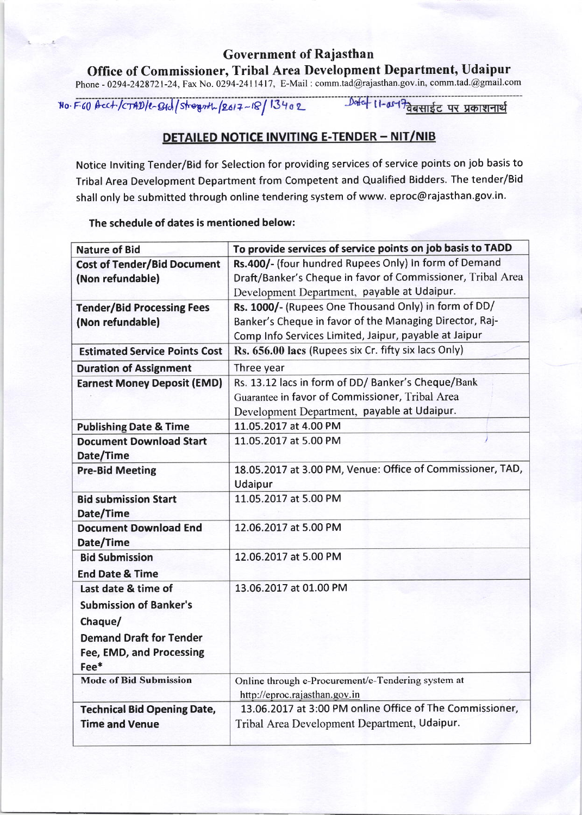## Government of Rajastha Office of Commissioner, Tribal Area Development Department, Udaipur Phone - 0294-2428721-24, Fax No. 0294-2411417, E-Mail : comm.tad@rajasthan.gov.in, comm.tad.@gmail.com

 $No. F60$  bect/cTAD/e-Btd/stregrith-  $|2617 - 18|$  13402

## **DETAILED NOTICE INVITING E-TENDER - NIT/NIB**

Notice lnviting Tender/Bid for Selection for providing services of service points on job basis to Tribal Area Development Department from Competent and Qualified Bidders. The tender/Bid shall only be submitted through online tendering system of www. eproc@rajasthan.gov.in.

## The schedule of dates is mentioned below:

| <b>Nature of Bid</b>                 | To provide services of service points on job basis to TADD  |
|--------------------------------------|-------------------------------------------------------------|
| <b>Cost of Tender/Bid Document</b>   | Rs.400/- (four hundred Rupees Only) In form of Demand       |
| (Non refundable)                     | Draft/Banker's Cheque in favor of Commissioner, Tribal Area |
|                                      | Development Department, payable at Udaipur.                 |
| <b>Tender/Bid Processing Fees</b>    | Rs. 1000/- (Rupees One Thousand Only) in form of DD/        |
| (Non refundable)                     | Banker's Cheque in favor of the Managing Director, Raj-     |
|                                      | Comp Info Services Limited, Jaipur, payable at Jaipur       |
| <b>Estimated Service Points Cost</b> | Rs. 656.00 lacs (Rupees six Cr. fifty six lacs Only)        |
| <b>Duration of Assignment</b>        | Three year                                                  |
| <b>Earnest Money Deposit (EMD)</b>   | Rs. 13.12 lacs in form of DD/ Banker's Cheque/Bank          |
|                                      | Guarantee in favor of Commissioner, Tribal Area             |
|                                      | Development Department, payable at Udaipur.                 |
| <b>Publishing Date &amp; Time</b>    | 11.05.2017 at 4.00 PM                                       |
| <b>Document Download Start</b>       | 11.05.2017 at 5.00 PM                                       |
| Date/Time                            |                                                             |
| <b>Pre-Bid Meeting</b>               | 18.05.2017 at 3.00 PM, Venue: Office of Commissioner, TAD,  |
|                                      | Udaipur                                                     |
| <b>Bid submission Start</b>          | 11.05.2017 at 5.00 PM                                       |
| Date/Time                            |                                                             |
| <b>Document Download End</b>         | 12.06.2017 at 5.00 PM                                       |
| Date/Time                            |                                                             |
| <b>Bid Submission</b>                | 12.06.2017 at 5.00 PM                                       |
| <b>End Date &amp; Time</b>           |                                                             |
| Last date & time of                  | 13.06.2017 at 01.00 PM                                      |
| <b>Submission of Banker's</b>        |                                                             |
| Chaque/                              |                                                             |
| <b>Demand Draft for Tender</b>       |                                                             |
| Fee, EMD, and Processing             |                                                             |
| $Fee*$                               |                                                             |
| <b>Mode of Bid Submission</b>        | Online through e-Procurement/e-Tendering system at          |
|                                      | http://eproc.rajasthan.gov.in                               |
| <b>Technical Bid Opening Date,</b>   | 13.06.2017 at 3:00 PM online Office of The Commissioner,    |
| <b>Time and Venue</b>                | Tribal Area Development Department, Udaipur.                |
|                                      |                                                             |